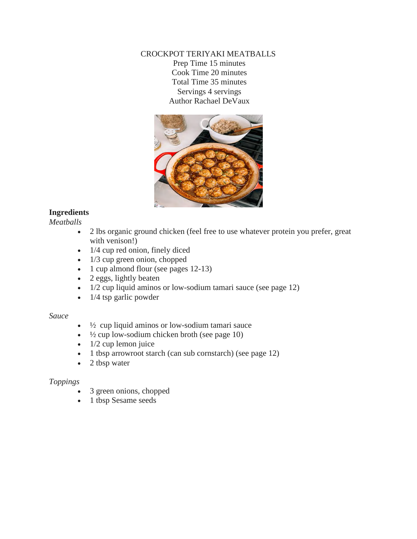## CROCKPOT TERIYAKI MEATBALLS Prep Time 15 minutes Cook Time 20 minutes Total Time 35 minutes Servings 4 servings Author Rachael DeVaux



# **Ingredients**

*Meatballs*

- 2 lbs organic ground chicken (feel free to use whatever protein you prefer, great with venison!)
- $\bullet$  1/4 cup red onion, finely diced
- $\bullet$  1/3 cup green onion, chopped
- 1 cup almond flour (see pages 12-13)
- 2 eggs, lightly beaten
- 1/2 cup liquid aminos or low-sodium tamari sauce (see page 12)
- $\bullet$  1/4 tsp garlic powder

## *Sauce*

- $\cdot$   $\frac{1}{2}$  cup liquid aminos or low-sodium tamari sauce
- $\cdot$   $\frac{1}{2}$  cup low-sodium chicken broth (see page 10)
- $\bullet$  1/2 cup lemon juice
- 1 tbsp arrowroot starch (can sub cornstarch) (see page 12)
- 2 tbsp water

## *Toppings*

- 3 green onions, chopped
- 1 tbsp Sesame seeds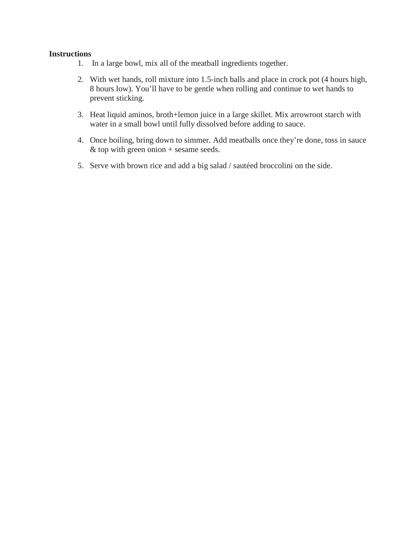- 1. In a large bowl, mix all of the meatball ingredients together.
- 2. With wet hands, roll mixture into 1.5-inch balls and place in crock pot (4 hours high, 8 hours low). You'll have to be gentle when rolling and continue to wet hands to prevent sticking.
- 3. Heat liquid aminos, broth+lemon juice in a large skillet. Mix arrowroot starch with water in a small bowl until fully dissolved before adding to sauce.
- 4. Once boiling, bring down to simmer. Add meatballs once they're done, toss in sauce  $&$  top with green onion + sesame seeds.
- 5. Serve with brown rice and add a big salad / sautéed broccolini on the side.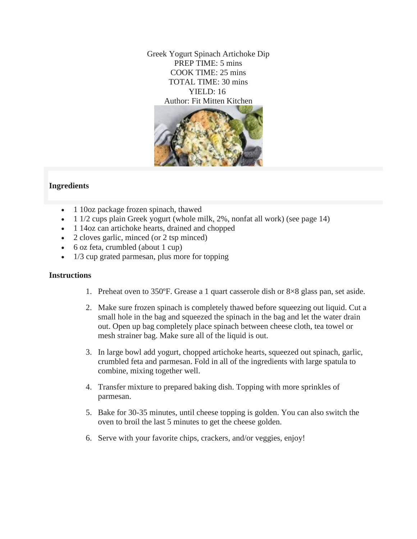Greek Yogurt Spinach Artichoke Dip PREP TIME: 5 mins COOK TIME: 25 mins TOTAL TIME: 30 mins YIELD: 16 Author: Fit Mitten Kitchen



## **Ingredients**

- 1 10oz package frozen spinach, thawed
- $\bullet$  1 1/2 cups plain Greek yogurt (whole milk, 2%, nonfat all work) (see page 14)
- 1 14oz can artichoke hearts, drained and chopped
- 2 cloves garlic, minced (or 2 tsp minced)
- 6 oz feta, crumbled (about 1 cup)
- 1/3 cup grated parmesan, plus more for topping

- 1. Preheat oven to 350ºF. Grease a 1 quart casserole dish or 8×8 glass pan, set aside.
- 2. Make sure frozen spinach is completely thawed before squeezing out liquid. Cut a small hole in the bag and squeezed the spinach in the bag and let the water drain out. Open up bag completely place spinach between cheese cloth, tea towel or mesh strainer bag. Make sure all of the liquid is out.
- 3. In large bowl add yogurt, chopped artichoke hearts, squeezed out spinach, garlic, crumbled feta and parmesan. Fold in all of the ingredients with large spatula to combine, mixing together well.
- 4. Transfer mixture to prepared baking dish. Topping with more sprinkles of parmesan.
- 5. Bake for 30-35 minutes, until cheese topping is golden. You can also switch the oven to broil the last 5 minutes to get the cheese golden.
- 6. Serve with your favorite chips, crackers, and/or veggies, enjoy!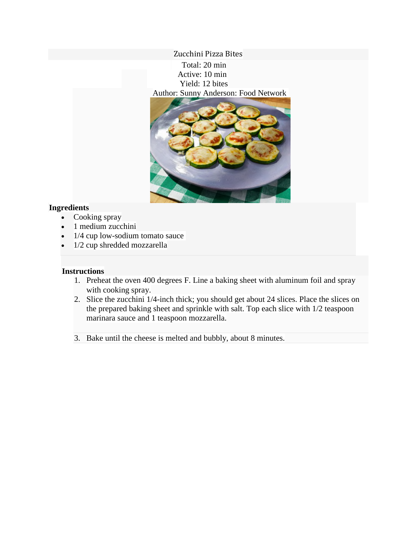Zucchini Pizza Bites Total: 20 min Active: 10 min Yield: 12 bites Author: Sunny Anderson: Food Network



## **Ingredients**

- Cooking spray
- 1 medium zucchini
- 1/4 cup low-sodium tomato sauce
- 1/2 cup shredded mozzarella

- 1. Preheat the oven 400 degrees F. Line a baking sheet with aluminum foil and spray with cooking spray.
- 2. Slice the zucchini 1/4-inch thick; you should get about 24 slices. Place the slices on the prepared baking sheet and sprinkle with salt. Top each slice with 1/2 teaspoon marinara sauce and 1 teaspoon mozzarella.
- 3. Bake until the cheese is melted and bubbly, about 8 minutes.